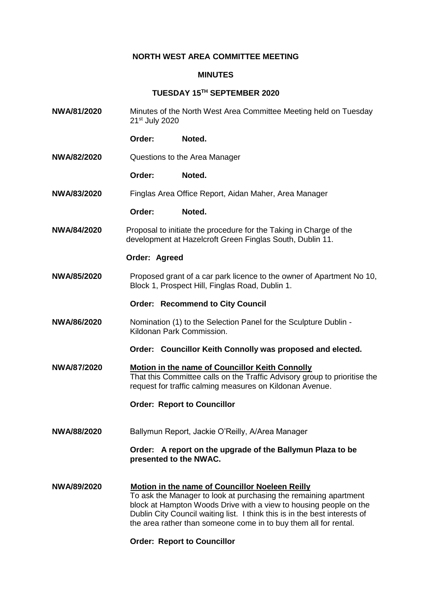## **NORTH WEST AREA COMMITTEE MEETING**

## **MINUTES**

## **TUESDAY 15TH SEPTEMBER 2020**

**NWA/81/2020** Minutes of the North West Area Committee Meeting held on Tuesday 21st July 2020 **Order: Noted. NWA/82/2020** Questions to the Area Manager **Order: Noted. NWA/83/2020** Finglas Area Office Report, Aidan Maher, Area Manager **Order: Noted. NWA/84/2020** Proposal to initiate the procedure for the Taking in Charge of the development at Hazelcroft Green Finglas South, Dublin 11. **Order: Agreed NWA/85/2020** Proposed grant of a car park licence to the owner of Apartment No 10, Block 1, Prospect Hill, Finglas Road, Dublin 1. **Order: Recommend to City Council NWA/86/2020** Nomination (1) to the Selection Panel for the Sculpture Dublin - Kildonan Park Commission. **Order: Councillor Keith Connolly was proposed and elected. NWA/87/2020 Motion in the name of Councillor Keith Connolly** That this Committee calls on the Traffic Advisory group to prioritise the request for traffic calming measures on Kildonan Avenue. **Order: Report to Councillor NWA/88/2020** Ballymun Report, Jackie O'Reilly, A/Area Manager **Order: A report on the upgrade of the Ballymun Plaza to be presented to the NWAC. NWA/89/2020 Motion in the name of Councillor Noeleen Reilly** To ask the Manager to look at purchasing the remaining apartment block at Hampton Woods Drive with a view to housing people on the Dublin City Council waiting list. I think this is in the best interests of the area rather than someone come in to buy them all for rental.

**Order: Report to Councillor**